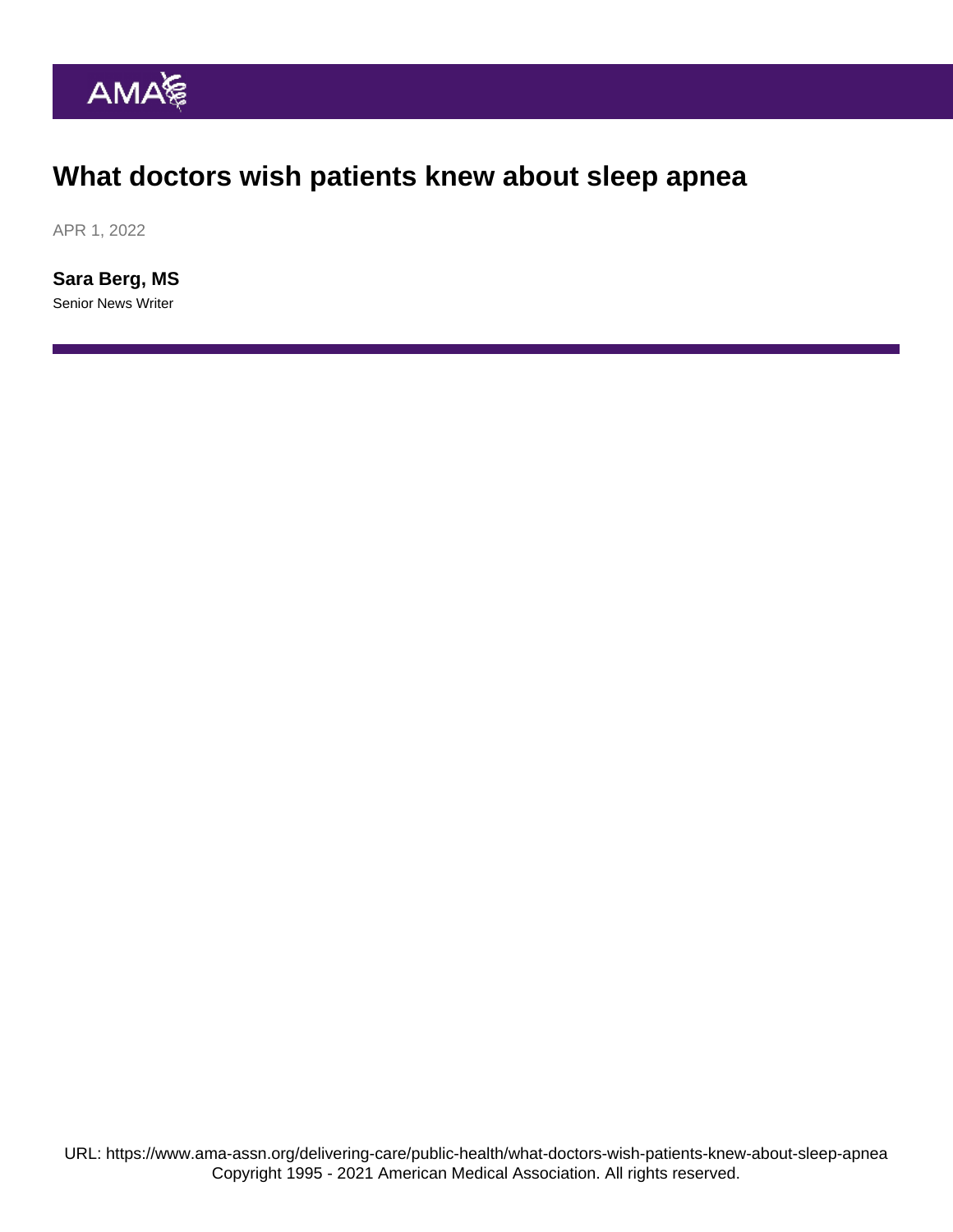## What doctors wish patients knew about sleep apnea

APR 1, 2022

[Sara Berg, MS](https://www.ama-assn.org/news-leadership-viewpoints/authors-news-leadership-viewpoints/sara-berg-ms) Senior News Writer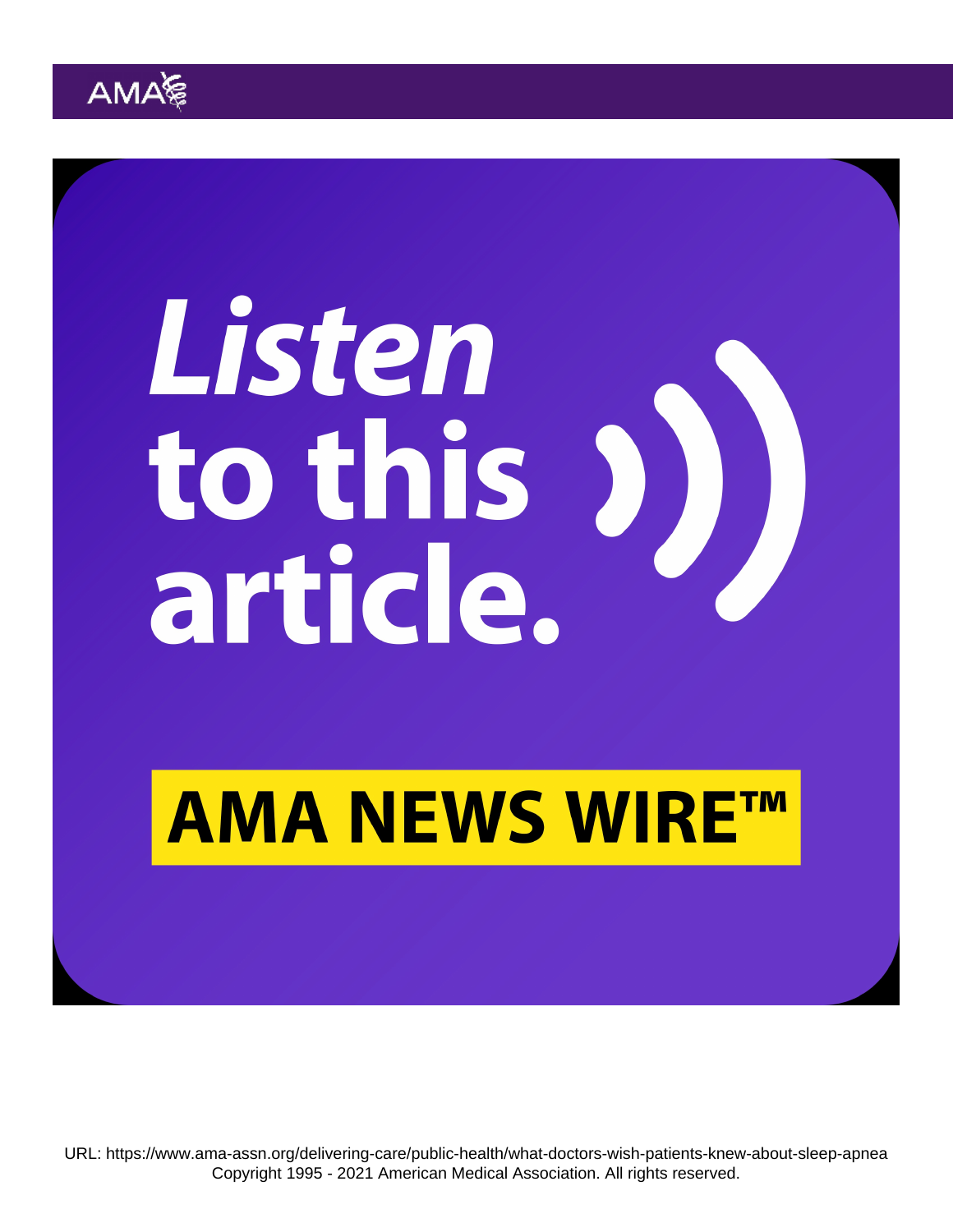URL:<https://www.ama-assn.org/delivering-care/public-health/what-doctors-wish-patients-knew-about-sleep-apnea> Copyright 1995 - 2021 American Medical Association. All rights reserved.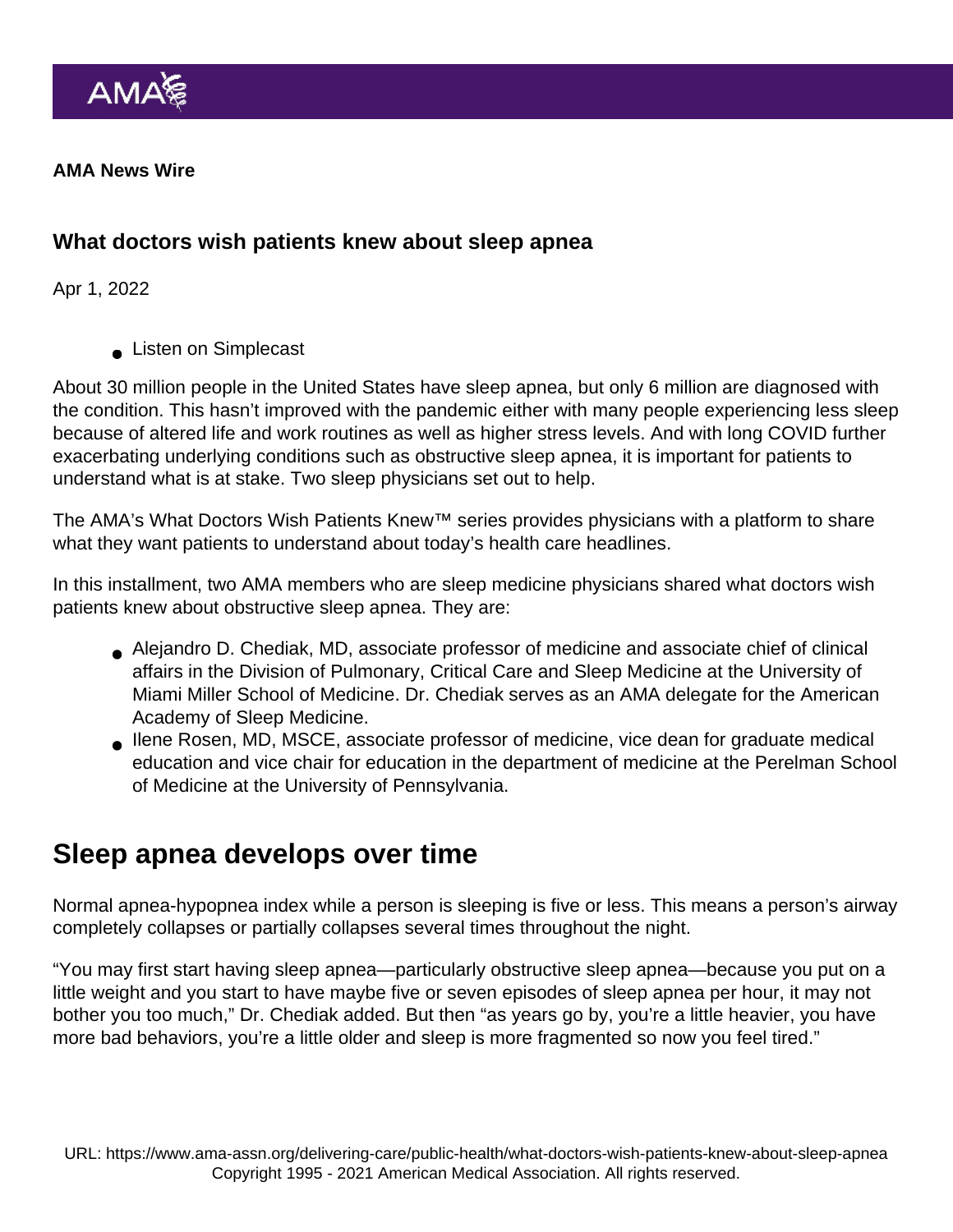AMA News Wire

What doctors wish patients knew about sleep apnea

Apr 1, 2022

**Listen on Simplecast** 

About 30 million people in the United States have sleep apnea, but only 6 million are diagnosed with the condition. This hasn't improved with the pandemic either with many people experiencing less sleep because of altered life and work routines as well as higher stress levels. And with long COVID further exacerbating underlying conditions such as obstructive sleep apnea, it is important for patients to understand what is at stake. Two sleep physicians set out to help.

The AMA's [What Doctors Wish Patients Knew™](https://www.ama-assn.org/series/what-doctors-wish-patients-knew) series provides physicians with a platform to share what they want patients to understand about today's health care headlines.

In this installment, two AMA members who are sleep medicine physicians shared what doctors wish patients knew about obstructive sleep apnea. They are:

- Alejandro D. Chediak, MD, associate professor of medicine and associate chief of clinical affairs in the Division of Pulmonary, Critical Care and Sleep Medicine at the University of Miami Miller School of Medicine. Dr. Chediak serves as an AMA delegate for the American Academy of Sleep Medicine.
- [Ilene Rosen, MD, MSCE,](https://www.ama-assn.org/residents-students/specialty-profiles/another-perspective-sleep-medicine-shadowing-dr-rosen) associate professor of medicine, vice dean for graduate medical education and vice chair for education in the department of medicine at the Perelman School of Medicine at the University of Pennsylvania.

#### Sleep apnea develops over time

Normal apnea-hypopnea index while a person is sleeping is five or less. This means a person's airway completely collapses or partially collapses several times throughout the night.

"You may first start having sleep apnea—particularly obstructive sleep apnea—because you put on a little weight and you start to have maybe five or seven episodes of sleep apnea per hour, it may not bother you too much," Dr. Chediak added. But then "as years go by, you're a little heavier, you have more bad behaviors, you're a little older and sleep is more fragmented so now you feel tired."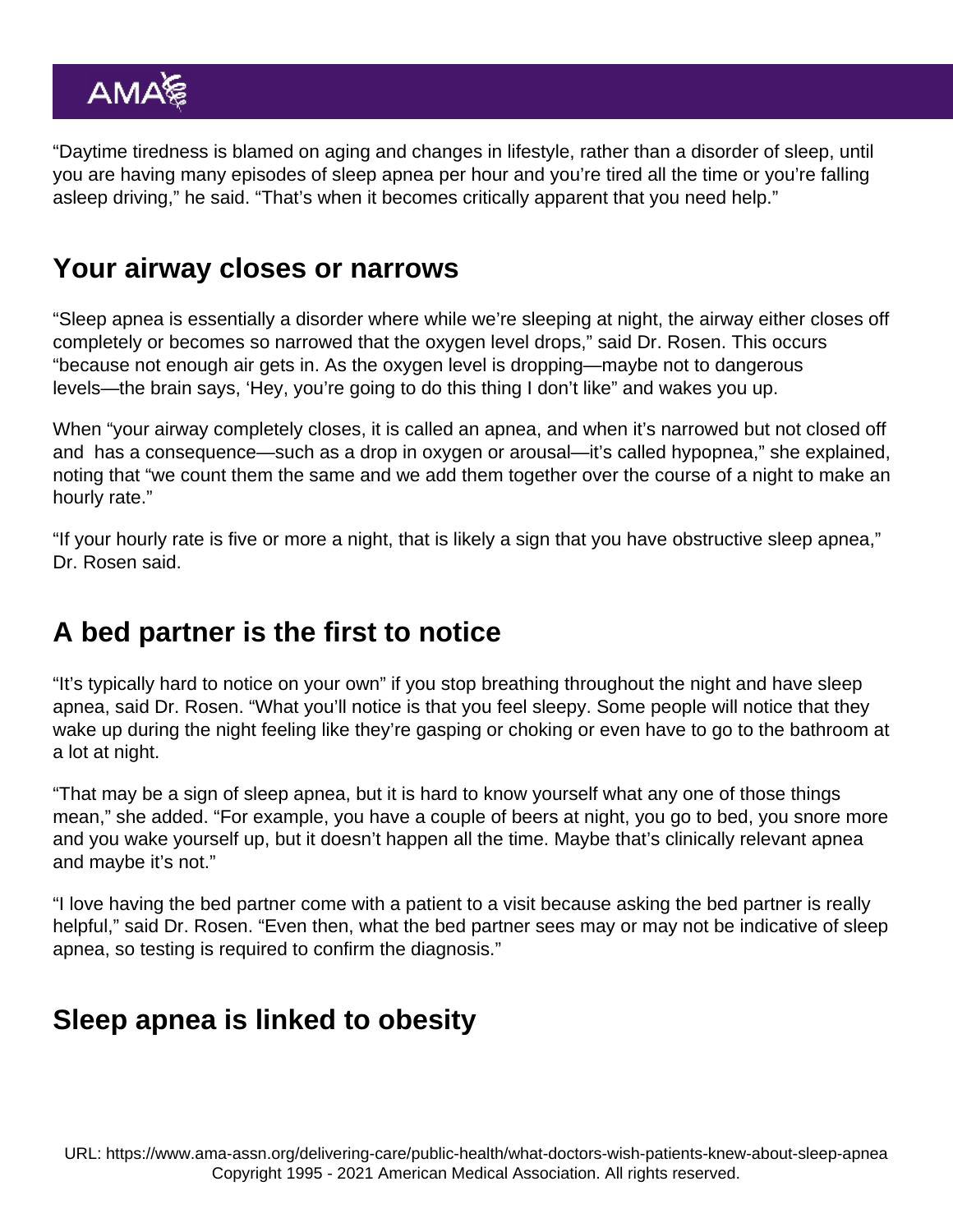"Daytime tiredness is blamed on aging and changes in lifestyle, rather than a disorder of sleep, until you are having many episodes of sleep apnea per hour and you're tired all the time or you're falling asleep driving," he said. "That's when it becomes critically apparent that you need help."

#### Your airway closes or narrows

"Sleep apnea is essentially a disorder where while we're sleeping at night, the airway either closes off completely or becomes so narrowed that the oxygen level drops," said [Dr. Rosen.](https://www.ama-assn.org/residents-students/specialty-profiles/another-perspective-sleep-medicine-shadowing-dr-rosen) This occurs "because not enough air gets in. As the oxygen level is dropping—maybe not to dangerous levels—the brain says, 'Hey, you're going to do this thing I don't like" and wakes you up.

When "your airway completely closes, it is called an apnea, and when it's narrowed but not closed off and has a consequence—such as a drop in oxygen or arousal—it's called hypopnea," she explained, noting that "we count them the same and we add them together over the course of a night to make an hourly rate."

"If your hourly rate is five or more a night, that is likely a sign that you have obstructive sleep apnea," Dr. Rosen said.

#### A bed partner is the first to notice

"It's typically hard to notice on your own" if you stop breathing throughout the night and have sleep apnea, said Dr. Rosen. "What you'll notice is that you feel sleepy. Some people will notice that they wake up during the night feeling like they're gasping or choking or even have to go to the bathroom at a lot at night.

"That may be a sign of sleep apnea, but it is hard to know yourself what any one of those things mean," she added. "For example, you have a couple of beers at night, you go to bed, you snore more and you wake yourself up, but it doesn't happen all the time. Maybe that's clinically relevant apnea and maybe it's not."

"I love having the bed partner come with a patient to a visit because asking the bed partner is really helpful," said Dr. Rosen. "Even then, what the bed partner sees may or may not be indicative of sleep apnea, so testing is required to confirm the diagnosis."

### Sleep apnea is linked to obesity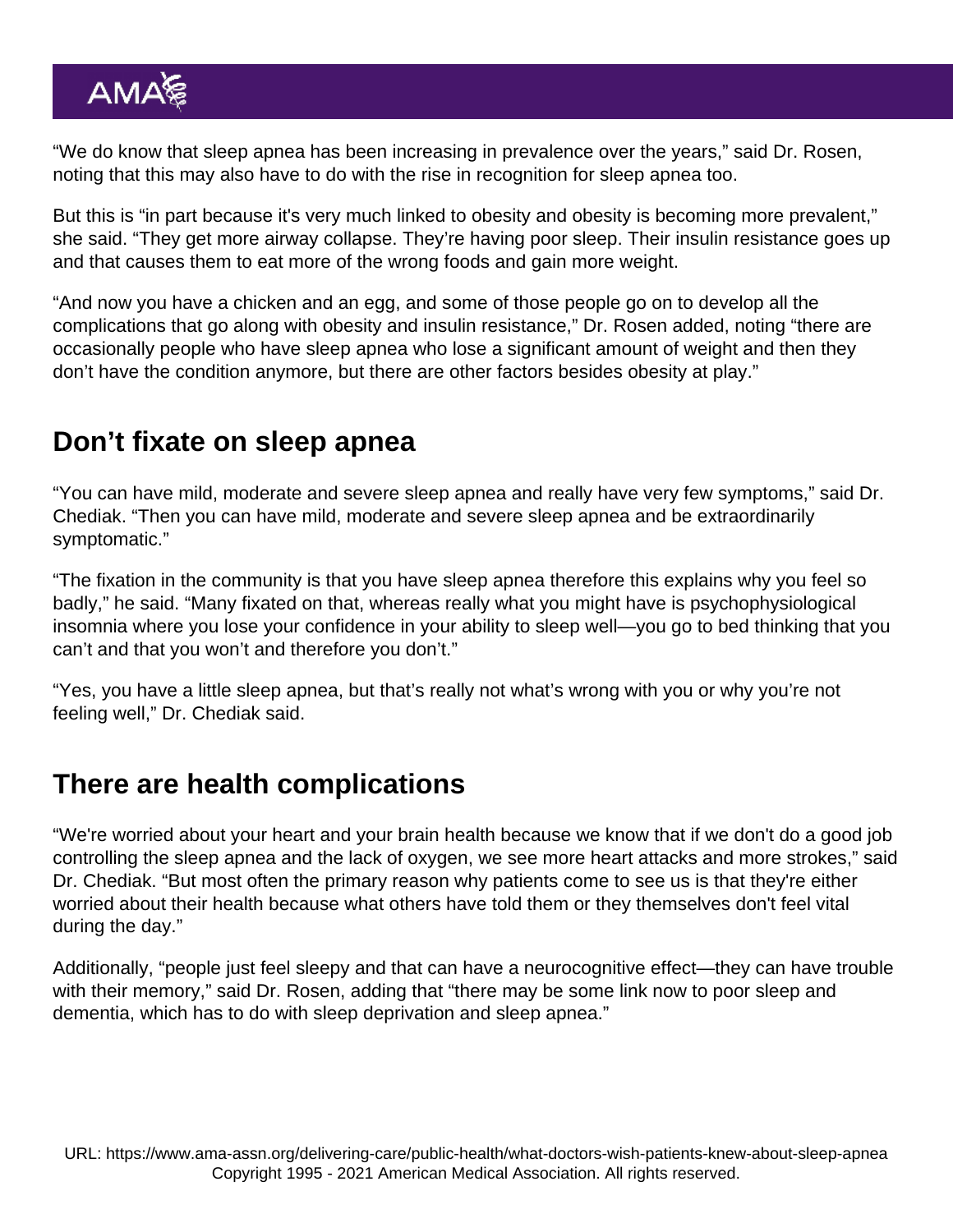"We do know that sleep apnea has been increasing in prevalence over the years," said Dr. Rosen, noting that this may also have to do with the rise in recognition for sleep apnea too.

But this is "in part because it's very much linked to obesity and obesity is becoming more prevalent," she said. "They get more airway collapse. They're having poor sleep. Their insulin resistance goes up and that causes them to eat more of the wrong foods and gain more weight.

"And now you have a chicken and an egg, and some of those people go on to develop all the complications that go along with obesity and insulin resistance," Dr. Rosen added, noting "there are occasionally people who have sleep apnea who lose a significant amount of weight and then they don't have the condition anymore, but there are other factors besides obesity at play."

## Don't fixate on sleep apnea

"You can have mild, moderate and severe sleep apnea and really have very few symptoms," said Dr. Chediak. "Then you can have mild, moderate and severe sleep apnea and be extraordinarily symptomatic."

"The fixation in the community is that you have sleep apnea therefore this explains why you feel so badly," he said. "Many fixated on that, whereas really what you might have is psychophysiological insomnia where you lose your confidence in your ability to sleep well—you go to bed thinking that you can't and that you won't and therefore you don't."

"Yes, you have a little sleep apnea, but that's really not what's wrong with you or why you're not feeling well," Dr. Chediak said.

### There are health complications

"We're worried about your heart and your brain health because we know that if we don't do a good job controlling the sleep apnea and the lack of oxygen, we see more heart attacks and more strokes," said Dr. Chediak. "But most often the primary reason why patients come to see us is that they're either worried about their health because what others have told them or they themselves don't feel vital during the day."

Additionally, "people just feel sleepy and that can have a neurocognitive effect—they can have trouble with their memory," said Dr. Rosen, adding that "there may be some link now to poor sleep and dementia, which has to do with sleep deprivation and sleep apnea."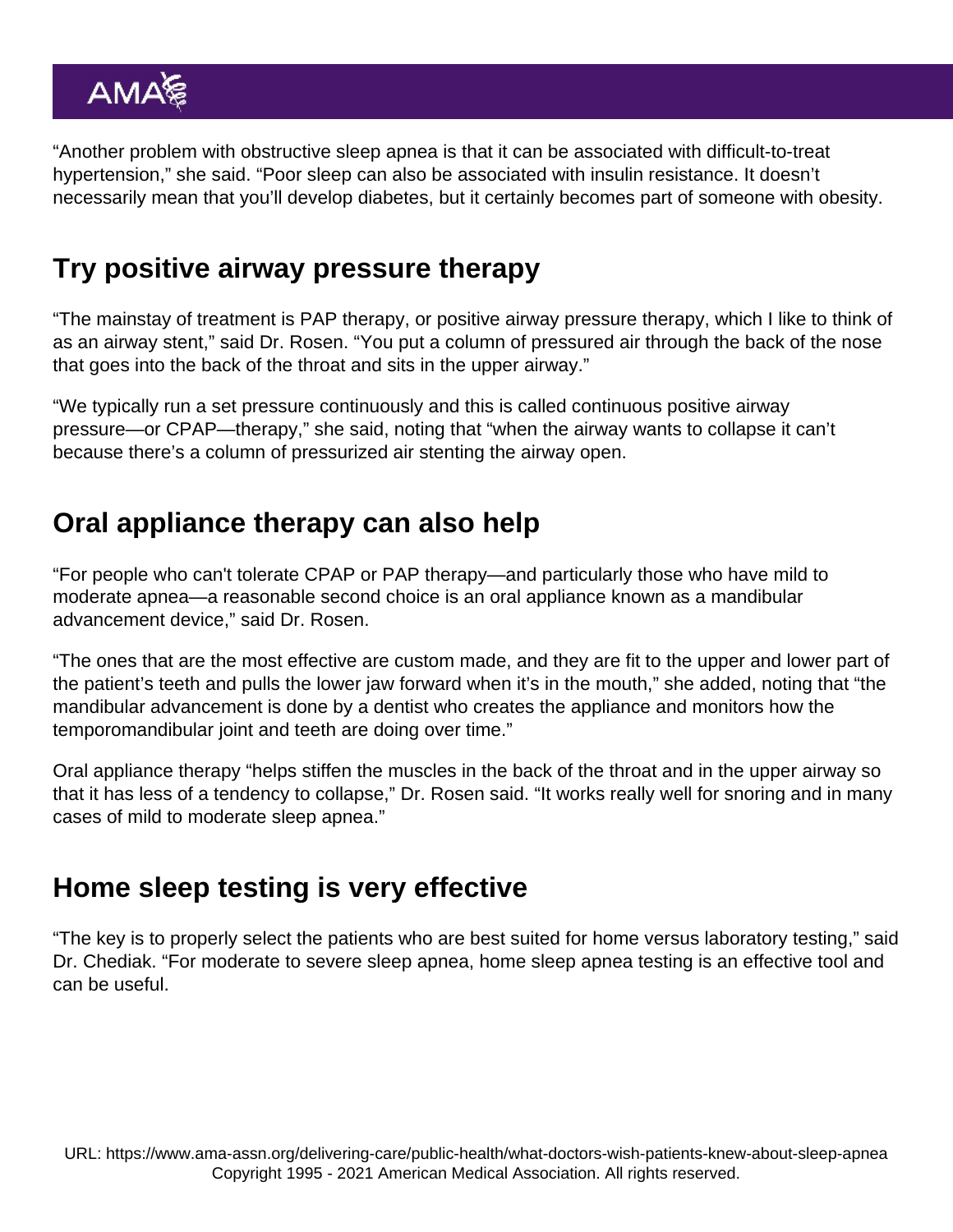"Another problem with obstructive sleep apnea is that it can be associated with difficult-to-treat hypertension," she said. "Poor sleep can also be associated with insulin resistance. It doesn't necessarily mean that you'll develop diabetes, but it certainly becomes part of someone with obesity.

### Try positive airway pressure therapy

"The mainstay of treatment is PAP therapy, or positive airway pressure therapy, which I like to think of as an airway stent," said Dr. Rosen. "You put a column of pressured air through the back of the nose that goes into the back of the throat and sits in the upper airway."

"We typically run a set pressure continuously and this is called continuous positive airway pressure—or CPAP—therapy," she said, noting that "when the airway wants to collapse it can't because there's a column of pressurized air stenting the airway open.

### Oral appliance therapy can also help

"For people who can't tolerate CPAP or PAP therapy—and particularly those who have mild to moderate apnea—a reasonable second choice is an oral appliance known as a mandibular advancement device," said Dr. Rosen.

"The ones that are the most effective are custom made, and they are fit to the upper and lower part of the patient's teeth and pulls the lower jaw forward when it's in the mouth," she added, noting that "the mandibular advancement is done by a dentist who creates the appliance and monitors how the temporomandibular joint and teeth are doing over time."

Oral appliance therapy "helps stiffen the muscles in the back of the throat and in the upper airway so that it has less of a tendency to collapse," Dr. Rosen said. "It works really well for snoring and in many cases of mild to moderate sleep apnea."

#### Home sleep testing is very effective

"The key is to properly select the patients who are best suited for home versus laboratory testing," said Dr. Chediak. "For moderate to severe sleep apnea, home sleep apnea testing is an effective tool and can be useful.